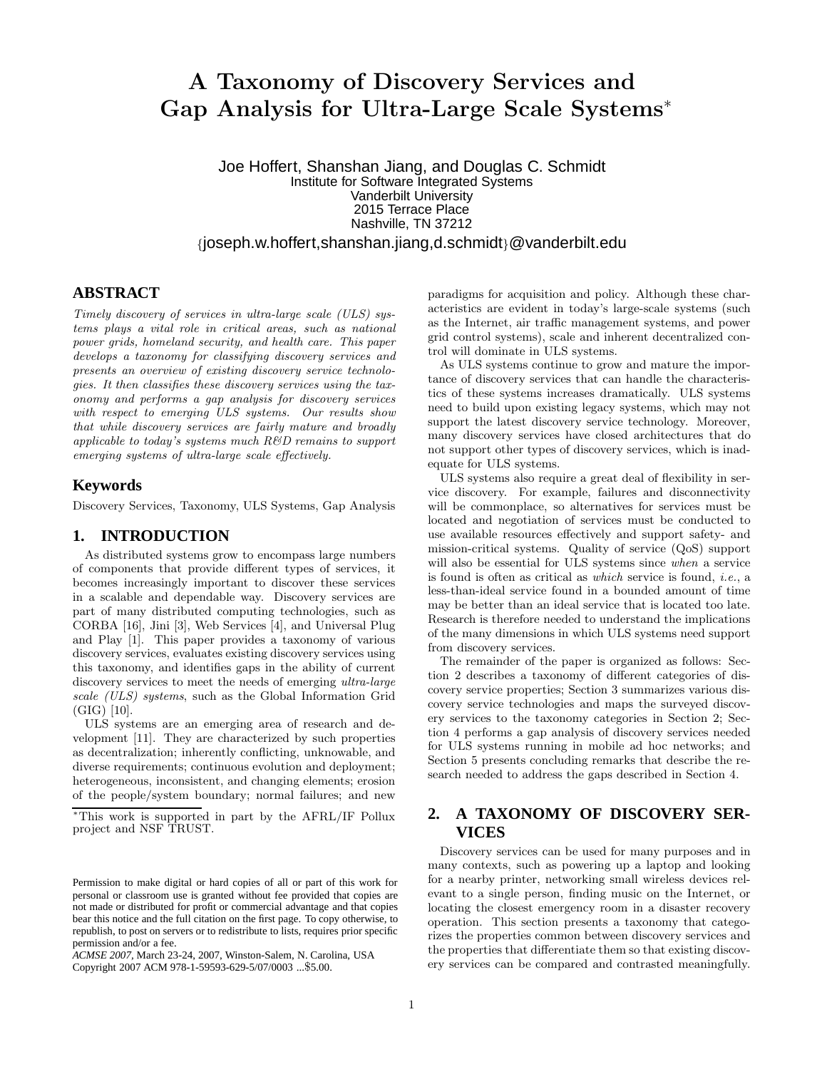# **A Taxonomy of Discovery Services and Gap Analysis for Ultra-Large Scale Systems**<sup>∗</sup>

Joe Hoffert, Shanshan Jiang, and Douglas C. Schmidt Institute for Software Integrated Systems Vanderbilt University 2015 Terrace Place Nashville, TN 37212 *{*joseph.w.hoffert,shanshan.jiang,d.schmidt*}*@vanderbilt.edu

#### **ABSTRACT**

Timely discovery of services in ultra-large scale (ULS) systems plays a vital role in critical areas, such as national power grids, homeland security, and health care. This paper develops a taxonomy for classifying discovery services and presents an overview of existing discovery service technologies. It then classifies these discovery services using the taxonomy and performs a gap analysis for discovery services with respect to emerging ULS systems. Our results show that while discovery services are fairly mature and broadly applicable to today's systems much R&D remains to support emerging systems of ultra-large scale effectively.

## **Keywords**

Discovery Services, Taxonomy, ULS Systems, Gap Analysis

#### **1. INTRODUCTION**

As distributed systems grow to encompass large numbers of components that provide different types of services, it becomes increasingly important to discover these services in a scalable and dependable way. Discovery services are part of many distributed computing technologies, such as CORBA [16], Jini [3], Web Services [4], and Universal Plug and Play [1]. This paper provides a taxonomy of various discovery services, evaluates existing discovery services using this taxonomy, and identifies gaps in the ability of current discovery services to meet the needs of emerging ultra-large scale (ULS) systems, such as the Global Information Grid (GIG) [10].

ULS systems are an emerging area of research and development [11]. They are characterized by such properties as decentralization; inherently conflicting, unknowable, and diverse requirements; continuous evolution and deployment; heterogeneous, inconsistent, and changing elements; erosion of the people/system boundary; normal failures; and new

Copyright 2007 ACM 978-1-59593-629-5/07/0003 ...\$5.00.

paradigms for acquisition and policy. Although these characteristics are evident in today's large-scale systems (such as the Internet, air traffic management systems, and power grid control systems), scale and inherent decentralized control will dominate in ULS systems.

As ULS systems continue to grow and mature the importance of discovery services that can handle the characteristics of these systems increases dramatically. ULS systems need to build upon existing legacy systems, which may not support the latest discovery service technology. Moreover, many discovery services have closed architectures that do not support other types of discovery services, which is inadequate for ULS systems.

ULS systems also require a great deal of flexibility in service discovery. For example, failures and disconnectivity will be commonplace, so alternatives for services must be located and negotiation of services must be conducted to use available resources effectively and support safety- and mission-critical systems. Quality of service (QoS) support will also be essential for ULS systems since when a service is found is often as critical as which service is found, i.e., a less-than-ideal service found in a bounded amount of time may be better than an ideal service that is located too late. Research is therefore needed to understand the implications of the many dimensions in which ULS systems need support from discovery services.

The remainder of the paper is organized as follows: Section 2 describes a taxonomy of different categories of discovery service properties; Section 3 summarizes various discovery service technologies and maps the surveyed discovery services to the taxonomy categories in Section 2; Section 4 performs a gap analysis of discovery services needed for ULS systems running in mobile ad hoc networks; and Section 5 presents concluding remarks that describe the research needed to address the gaps described in Section 4.

## **2. A TAXONOMY OF DISCOVERY SER-VICES**

Discovery services can be used for many purposes and in many contexts, such as powering up a laptop and looking for a nearby printer, networking small wireless devices relevant to a single person, finding music on the Internet, or locating the closest emergency room in a disaster recovery operation. This section presents a taxonomy that categorizes the properties common between discovery services and the properties that differentiate them so that existing discovery services can be compared and contrasted meaningfully.

<sup>∗</sup>This work is supported in part by the AFRL/IF Pollux project and NSF TRUST.

Permission to make digital or hard copies of all or part of this work for personal or classroom use is granted without fee provided that copies are not made or distributed for profit or commercial advantage and that copies bear this notice and the full citation on the first page. To copy otherwise, to republish, to post on servers or to redistribute to lists, requires prior specific permission and/or a fee.

*ACMSE 2007,* March 23-24, 2007, Winston-Salem, N. Carolina, USA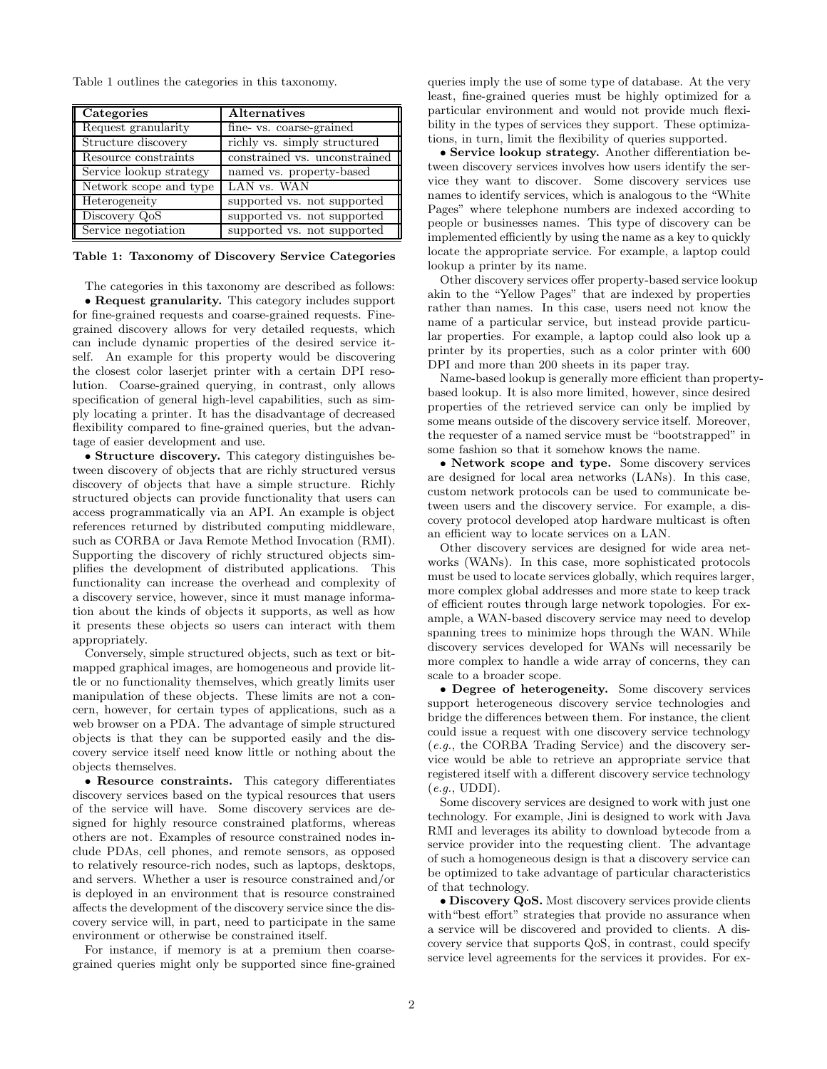Table 1 outlines the categories in this taxonomy.

| <b>Categories</b>       | <b>Alternatives</b>           |
|-------------------------|-------------------------------|
| Request granularity     | fine- vs. coarse-grained      |
| Structure discovery     | richly vs. simply structured  |
| Resource constraints    | constrained vs. unconstrained |
| Service lookup strategy | named vs. property-based      |
| Network scope and type  | LAN vs. WAN                   |
| Heterogeneity           | supported vs. not supported   |
| Discovery QoS           | supported vs. not supported   |
| Service negotiation     | supported vs. not supported   |

**Table 1: Taxonomy of Discovery Service Categories**

The categories in this taxonomy are described as follows: *•* **Request granularity.** This category includes support for fine-grained requests and coarse-grained requests. Finegrained discovery allows for very detailed requests, which can include dynamic properties of the desired service itself. An example for this property would be discovering the closest color laserjet printer with a certain DPI resolution. Coarse-grained querying, in contrast, only allows specification of general high-level capabilities, such as simply locating a printer. It has the disadvantage of decreased flexibility compared to fine-grained queries, but the advantage of easier development and use.

*•* **Structure discovery.** This category distinguishes between discovery of objects that are richly structured versus discovery of objects that have a simple structure. Richly structured objects can provide functionality that users can access programmatically via an API. An example is object references returned by distributed computing middleware, such as CORBA or Java Remote Method Invocation (RMI). Supporting the discovery of richly structured objects simplifies the development of distributed applications. This functionality can increase the overhead and complexity of a discovery service, however, since it must manage information about the kinds of objects it supports, as well as how it presents these objects so users can interact with them appropriately.

Conversely, simple structured objects, such as text or bitmapped graphical images, are homogeneous and provide little or no functionality themselves, which greatly limits user manipulation of these objects. These limits are not a concern, however, for certain types of applications, such as a web browser on a PDA. The advantage of simple structured objects is that they can be supported easily and the discovery service itself need know little or nothing about the objects themselves.

*•* **Resource constraints.** This category differentiates discovery services based on the typical resources that users of the service will have. Some discovery services are designed for highly resource constrained platforms, whereas others are not. Examples of resource constrained nodes include PDAs, cell phones, and remote sensors, as opposed to relatively resource-rich nodes, such as laptops, desktops, and servers. Whether a user is resource constrained and/or is deployed in an environment that is resource constrained affects the development of the discovery service since the discovery service will, in part, need to participate in the same environment or otherwise be constrained itself.

For instance, if memory is at a premium then coarsegrained queries might only be supported since fine-grained queries imply the use of some type of database. At the very least, fine-grained queries must be highly optimized for a particular environment and would not provide much flexibility in the types of services they support. These optimizations, in turn, limit the flexibility of queries supported.

*•* **Service lookup strategy.** Another differentiation between discovery services involves how users identify the service they want to discover. Some discovery services use names to identify services, which is analogous to the "White Pages" where telephone numbers are indexed according to people or businesses names. This type of discovery can be implemented efficiently by using the name as a key to quickly locate the appropriate service. For example, a laptop could lookup a printer by its name.

Other discovery services offer property-based service lookup akin to the "Yellow Pages" that are indexed by properties rather than names. In this case, users need not know the name of a particular service, but instead provide particular properties. For example, a laptop could also look up a printer by its properties, such as a color printer with 600 DPI and more than 200 sheets in its paper tray.

Name-based lookup is generally more efficient than propertybased lookup. It is also more limited, however, since desired properties of the retrieved service can only be implied by some means outside of the discovery service itself. Moreover, the requester of a named service must be "bootstrapped" in some fashion so that it somehow knows the name.

*•* **Network scope and type.** Some discovery services are designed for local area networks (LANs). In this case, custom network protocols can be used to communicate between users and the discovery service. For example, a discovery protocol developed atop hardware multicast is often an efficient way to locate services on a LAN.

Other discovery services are designed for wide area networks (WANs). In this case, more sophisticated protocols must be used to locate services globally, which requires larger, more complex global addresses and more state to keep track of efficient routes through large network topologies. For example, a WAN-based discovery service may need to develop spanning trees to minimize hops through the WAN. While discovery services developed for WANs will necessarily be more complex to handle a wide array of concerns, they can scale to a broader scope.

*•* **Degree of heterogeneity.** Some discovery services support heterogeneous discovery service technologies and bridge the differences between them. For instance, the client could issue a request with one discovery service technology (e.g., the CORBA Trading Service) and the discovery service would be able to retrieve an appropriate service that registered itself with a different discovery service technology  $(e.a., UDDI).$ 

Some discovery services are designed to work with just one technology. For example, Jini is designed to work with Java RMI and leverages its ability to download bytecode from a service provider into the requesting client. The advantage of such a homogeneous design is that a discovery service can be optimized to take advantage of particular characteristics of that technology.

*•* **Discovery QoS.** Most discovery services provide clients with "best effort" strategies that provide no assurance when a service will be discovered and provided to clients. A discovery service that supports QoS, in contrast, could specify service level agreements for the services it provides. For ex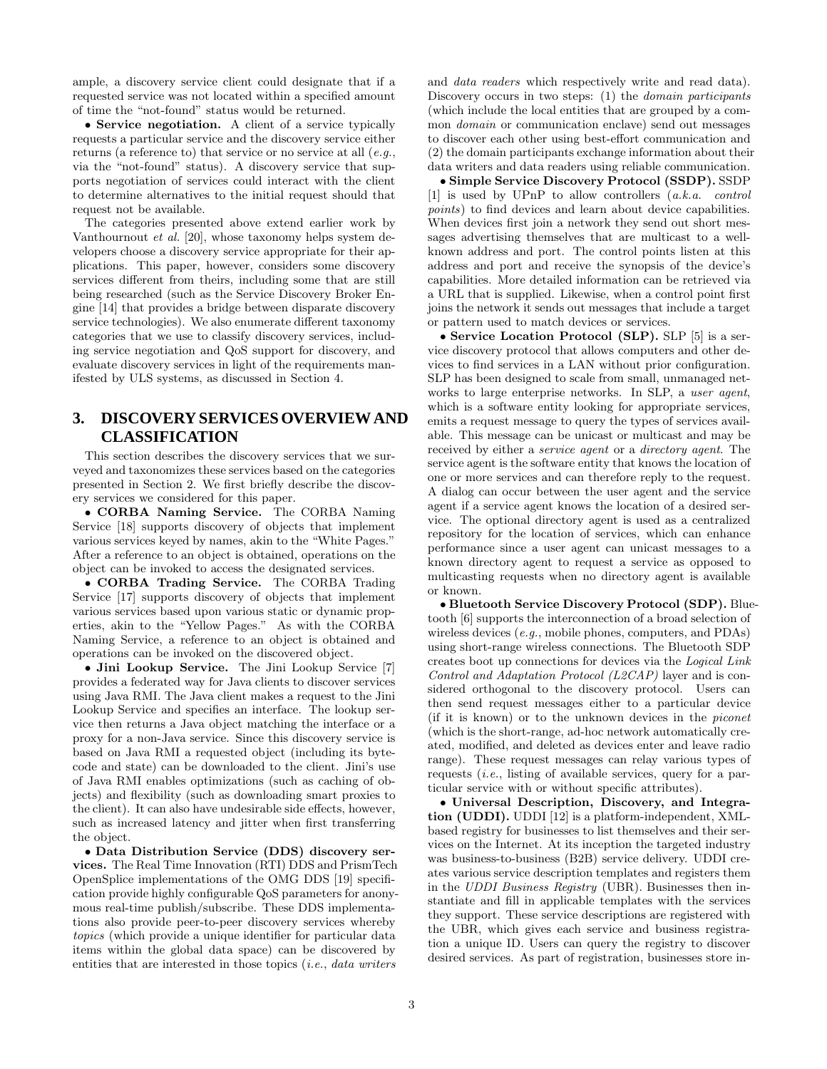ample, a discovery service client could designate that if a requested service was not located within a specified amount of time the "not-found" status would be returned.

*•* **Service negotiation.** A client of a service typically requests a particular service and the discovery service either returns (a reference to) that service or no service at all  $(e.q.,$ via the "not-found" status). A discovery service that supports negotiation of services could interact with the client to determine alternatives to the initial request should that request not be available.

The categories presented above extend earlier work by Vanthournout et al. [20], whose taxonomy helps system developers choose a discovery service appropriate for their applications. This paper, however, considers some discovery services different from theirs, including some that are still being researched (such as the Service Discovery Broker Engine [14] that provides a bridge between disparate discovery service technologies). We also enumerate different taxonomy categories that we use to classify discovery services, including service negotiation and QoS support for discovery, and evaluate discovery services in light of the requirements manifested by ULS systems, as discussed in Section 4.

## **3. DISCOVERY SERVICES OVERVIEW AND CLASSIFICATION**

This section describes the discovery services that we surveyed and taxonomizes these services based on the categories presented in Section 2. We first briefly describe the discovery services we considered for this paper.

*•* **CORBA Naming Service.** The CORBA Naming Service [18] supports discovery of objects that implement various services keyed by names, akin to the "White Pages." After a reference to an object is obtained, operations on the object can be invoked to access the designated services.

*•* **CORBA Trading Service.** The CORBA Trading Service [17] supports discovery of objects that implement various services based upon various static or dynamic properties, akin to the "Yellow Pages." As with the CORBA Naming Service, a reference to an object is obtained and operations can be invoked on the discovered object.

*•* **Jini Lookup Service.** The Jini Lookup Service [7] provides a federated way for Java clients to discover services using Java RMI. The Java client makes a request to the Jini Lookup Service and specifies an interface. The lookup service then returns a Java object matching the interface or a proxy for a non-Java service. Since this discovery service is based on Java RMI a requested object (including its bytecode and state) can be downloaded to the client. Jini's use of Java RMI enables optimizations (such as caching of objects) and flexibility (such as downloading smart proxies to the client). It can also have undesirable side effects, however, such as increased latency and jitter when first transferring the object.

*•* **Data Distribution Service (DDS) discovery services.** The Real Time Innovation (RTI) DDS and PrismTech OpenSplice implementations of the OMG DDS [19] specification provide highly configurable QoS parameters for anonymous real-time publish/subscribe. These DDS implementations also provide peer-to-peer discovery services whereby topics (which provide a unique identifier for particular data items within the global data space) can be discovered by entities that are interested in those topics (i.e., data writers

and data readers which respectively write and read data). Discovery occurs in two steps: (1) the *domain participants* (which include the local entities that are grouped by a common domain or communication enclave) send out messages to discover each other using best-effort communication and (2) the domain participants exchange information about their data writers and data readers using reliable communication.

*•* **Simple Service Discovery Protocol (SSDP).** SSDP [1] is used by UPnP to allow controllers (a.k.a. control points) to find devices and learn about device capabilities. When devices first join a network they send out short messages advertising themselves that are multicast to a wellknown address and port. The control points listen at this address and port and receive the synopsis of the device's capabilities. More detailed information can be retrieved via a URL that is supplied. Likewise, when a control point first joins the network it sends out messages that include a target or pattern used to match devices or services.

*•* **Service Location Protocol (SLP).** SLP [5] is a service discovery protocol that allows computers and other devices to find services in a LAN without prior configuration. SLP has been designed to scale from small, unmanaged networks to large enterprise networks. In SLP, a user agent, which is a software entity looking for appropriate services, emits a request message to query the types of services available. This message can be unicast or multicast and may be received by either a service agent or a directory agent. The service agent is the software entity that knows the location of one or more services and can therefore reply to the request. A dialog can occur between the user agent and the service agent if a service agent knows the location of a desired service. The optional directory agent is used as a centralized repository for the location of services, which can enhance performance since a user agent can unicast messages to a known directory agent to request a service as opposed to multicasting requests when no directory agent is available or known.

*•* **Bluetooth Service Discovery Protocol (SDP).** Bluetooth [6] supports the interconnection of a broad selection of wireless devices (e.g., mobile phones, computers, and PDAs) using short-range wireless connections. The Bluetooth SDP creates boot up connections for devices via the Logical Link Control and Adaptation Protocol (L2CAP) layer and is considered orthogonal to the discovery protocol. Users can then send request messages either to a particular device (if it is known) or to the unknown devices in the piconet (which is the short-range, ad-hoc network automatically created, modified, and deleted as devices enter and leave radio range). These request messages can relay various types of requests (i.e., listing of available services, query for a particular service with or without specific attributes).

*•* **Universal Description, Discovery, and Integration (UDDI).** UDDI [12] is a platform-independent, XMLbased registry for businesses to list themselves and their services on the Internet. At its inception the targeted industry was business-to-business (B2B) service delivery. UDDI creates various service description templates and registers them in the UDDI Business Registry (UBR). Businesses then instantiate and fill in applicable templates with the services they support. These service descriptions are registered with the UBR, which gives each service and business registration a unique ID. Users can query the registry to discover desired services. As part of registration, businesses store in-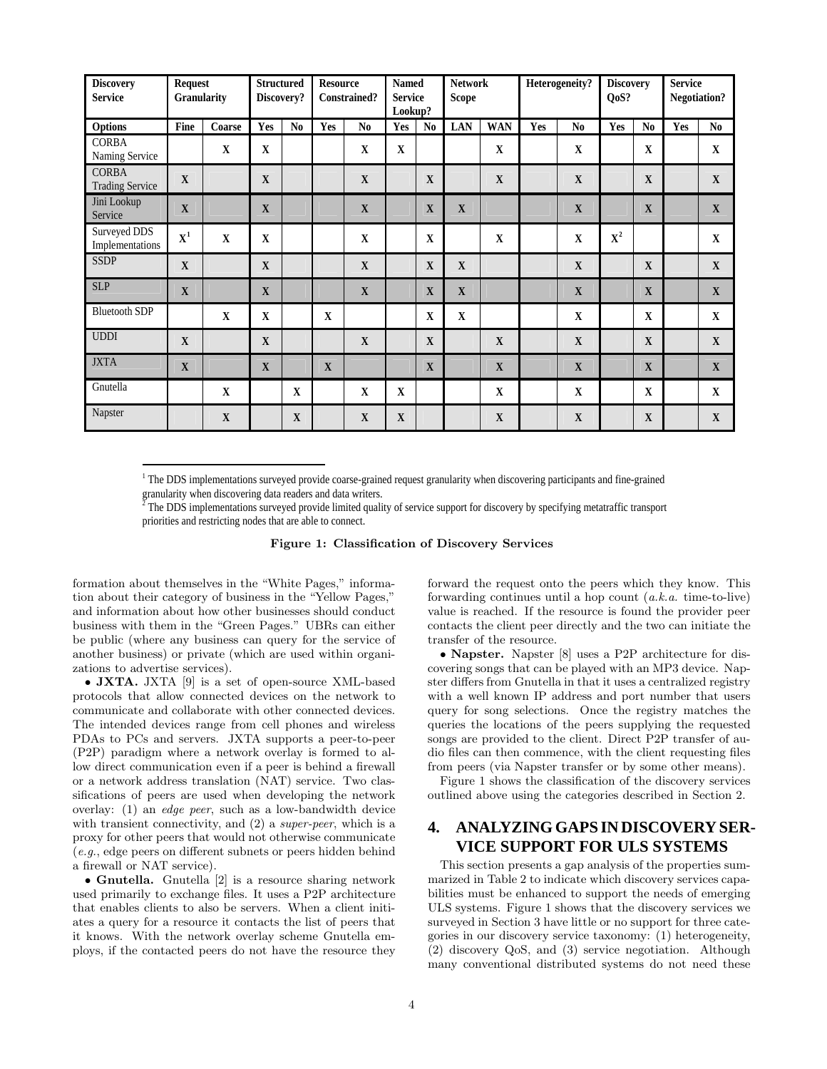| <b>Discovery</b><br><b>Service</b>     | <b>Request</b><br>Granularity |              | <b>Structured</b><br>Discovery? |                | <b>Resource</b> | <b>Constrained?</b> | <b>Named</b><br><b>Service</b><br>Lookup? | <b>Network</b><br><b>Scope</b> |              | Heterogeneity? |     | <b>Discovery</b><br>QoS? |             | <b>Service</b><br><b>Negotiation?</b> |     |              |
|----------------------------------------|-------------------------------|--------------|---------------------------------|----------------|-----------------|---------------------|-------------------------------------------|--------------------------------|--------------|----------------|-----|--------------------------|-------------|---------------------------------------|-----|--------------|
| <b>Options</b>                         | Fine                          | Coarse       | Yes                             | N <sub>0</sub> | Yes             | N <sub>0</sub>      | Yes                                       | N <sub>0</sub>                 | LAN          | <b>WAN</b>     | Yes | No                       | Yes         | N <sub>0</sub>                        | Yes | No           |
| <b>CORBA</b><br>Naming Service         |                               | X            | X                               |                |                 | X                   | X                                         |                                |              | X              |     | X                        |             | X                                     |     | X            |
| <b>CORBA</b><br><b>Trading Service</b> | $\mathbf{X}$                  |              | $\mathbf{X}$                    |                |                 | $\mathbf X$         |                                           | $\mathbf{X}$                   |              | $\mathbf{X}$   |     | $\mathbf{X}$             |             | $\mathbf{X}$                          |     | $\mathbf{X}$ |
| Jini Lookup<br>Service                 | $\mathbf{X}$                  |              | $\mathbf{X}$                    |                |                 | $\mathbf{X}$        |                                           | X                              | $\mathbf{X}$ |                |     | $\mathbf{X}$             |             | $\mathbf{X}$                          |     | $\mathbf{X}$ |
| Surveyed DDS<br>Implementations        | ${\bf X}^1$                   | $\mathbf{X}$ | X                               |                |                 | $\mathbf X$         |                                           | X                              |              | $\mathbf x$    |     | $\mathbf{X}$             | ${\bf X}^2$ |                                       |     | $\mathbf{X}$ |
| <b>SSDP</b>                            | $\mathbf{X}$                  |              | $\mathbf{X}$                    |                |                 | $\mathbf{X}$        |                                           | $\mathbf{X}$                   | $\mathbf{X}$ |                |     | $\mathbf{X}$             |             | $\mathbf{X}$                          |     | $\mathbf{X}$ |
| <b>SLP</b>                             | $\mathbf{X}$                  |              | X                               |                |                 | X                   |                                           | X                              | $\mathbf{X}$ |                |     | X                        |             | X                                     |     | $\mathbf{X}$ |
| <b>Bluetooth SDP</b>                   |                               | $\mathbf{X}$ | $\mathbf{X}$                    |                | $\mathbf{X}$    |                     |                                           | X                              | $\mathbf{X}$ |                |     | $\mathbf{X}$             |             | $\mathbf{X}$                          |     | $\mathbf{X}$ |
| <b>UDDI</b>                            | $\mathbf{X}$                  |              | X                               |                |                 | $\mathbf X$         |                                           | X                              |              | X              |     | X                        |             | $\mathbf{X}$                          |     | $\mathbf{X}$ |
| <b>JXTA</b>                            | $\mathbf{X}$                  |              | $\mathbf{X}$                    |                | $\mathbf{X}$    |                     |                                           | $\mathbf{X}$                   |              | $\mathbf{X}$   |     | $\mathbf{X}$             |             | $\mathbf{X}$                          |     | $\mathbf{X}$ |
| Gnutella                               |                               | X            |                                 | $\mathbf{X}$   |                 | X                   | $\mathbf{X}$                              |                                |              | X              |     | X                        |             | X                                     |     | $\mathbf{X}$ |
| Napster                                |                               | $\mathbf X$  |                                 | $\mathbf{X}$   |                 | X                   | $\mathbf{X}$                              |                                |              | $\mathbf{X}$   |     | $\mathbf{X}$             |             | $\mathbf{X}$                          |     | $\mathbf{X}$ |

1 The DDS implementations surveyed provide coarse-grained request granularity when discovering participants and fine-grained

granularity when discovering data readers and data writers.<br><sup>2</sup> The DDS implementations surveyed provide limited quality of service support for discovery by specifying metatraffic transport priorities and restricting nodes that are able to connect.

**Figure 1: Classification of Discovery Services**

formation about themselves in the "White Pages," information about their category of business in the "Yellow Pages," and information about how other businesses should conduct business with them in the "Green Pages." UBRs can either be public (where any business can query for the service of another business) or private (which are used within organizations to advertise services).

*•* **JXTA.** JXTA [9] is a set of open-source XML-based protocols that allow connected devices on the network to communicate and collaborate with other connected devices. The intended devices range from cell phones and wireless PDAs to PCs and servers. JXTA supports a peer-to-peer (P2P) paradigm where a network overlay is formed to allow direct communication even if a peer is behind a firewall or a network address translation (NAT) service. Two classifications of peers are used when developing the network overlay: (1) an edge peer, such as a low-bandwidth device with transient connectivity, and  $(2)$  a *super-peer*, which is a proxy for other peers that would not otherwise communicate (e.g., edge peers on different subnets or peers hidden behind a firewall or NAT service).

*•* **Gnutella.** Gnutella [2] is a resource sharing network used primarily to exchange files. It uses a P2P architecture that enables clients to also be servers. When a client initiates a query for a resource it contacts the list of peers that it knows. With the network overlay scheme Gnutella employs, if the contacted peers do not have the resource they forward the request onto the peers which they know. This forwarding continues until a hop count  $(a.k.a.$  time-to-live) value is reached. If the resource is found the provider peer contacts the client peer directly and the two can initiate the transfer of the resource.

*•* **Napster.** Napster [8] uses a P2P architecture for discovering songs that can be played with an MP3 device. Napster differs from Gnutella in that it uses a centralized registry with a well known IP address and port number that users query for song selections. Once the registry matches the queries the locations of the peers supplying the requested songs are provided to the client. Direct P2P transfer of audio files can then commence, with the client requesting files from peers (via Napster transfer or by some other means).

Figure 1 shows the classification of the discovery services outlined above using the categories described in Section 2.

## **4. ANALYZING GAPS IN DISCOVERY SER-VICE SUPPORT FOR ULS SYSTEMS**

This section presents a gap analysis of the properties summarized in Table 2 to indicate which discovery services capabilities must be enhanced to support the needs of emerging ULS systems. Figure 1 shows that the discovery services we surveyed in Section 3 have little or no support for three categories in our discovery service taxonomy: (1) heterogeneity, (2) discovery QoS, and (3) service negotiation. Although many conventional distributed systems do not need these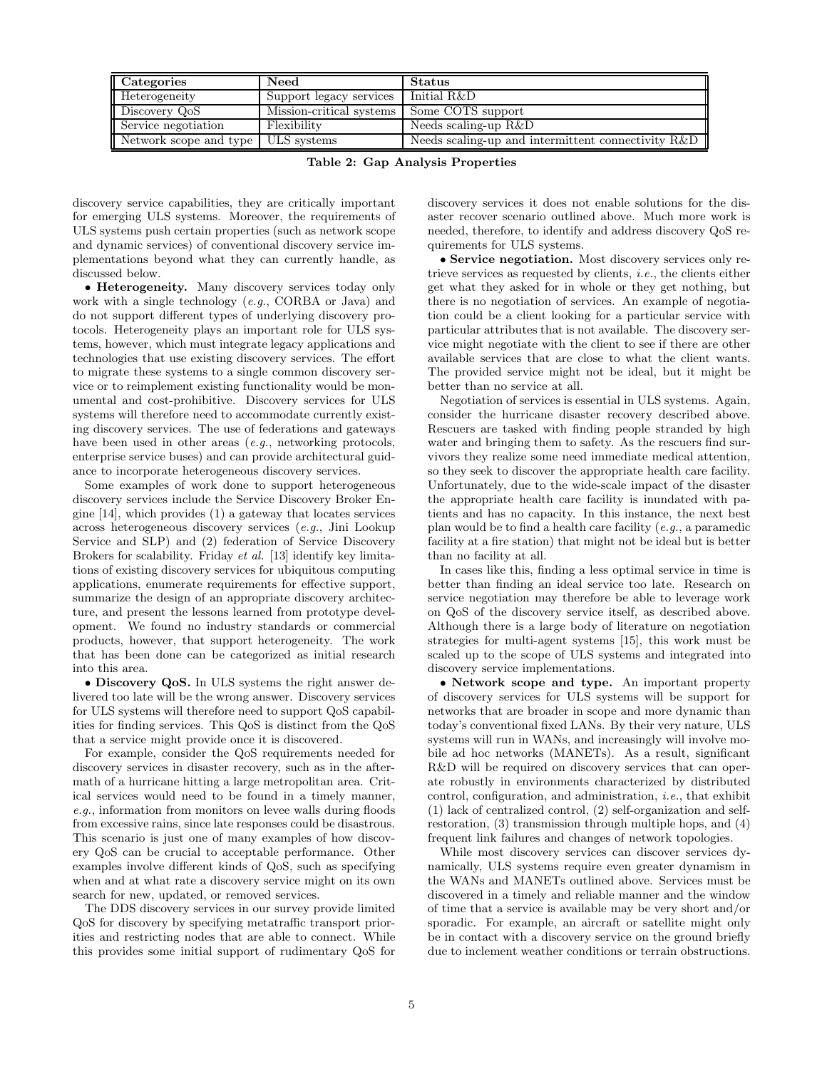| <b>Categories</b>      | Need                     | <b>Status</b>                                      |
|------------------------|--------------------------|----------------------------------------------------|
| <b>Heterogeneity</b>   | Support legacy services  | Initial R&D                                        |
| Discovery QoS          | Mission-critical systems | Some COTS support                                  |
| Service negotiation    | Flexibility              | Needs scaling-up $R\&D$                            |
| Network scope and type | ULS systems              | Needs scaling-up and intermittent connectivity R&D |

**Table 2: Gap Analysis Properties**

discovery service capabilities, they are critically important for emerging ULS systems. Moreover, the requirements of ULS systems push certain properties (such as network scope and dynamic services) of conventional discovery service implementations beyond what they can currently handle, as discussed below.

*•* **Heterogeneity.** Many discovery services today only work with a single technology (e.g., CORBA or Java) and do not support different types of underlying discovery protocols. Heterogeneity plays an important role for ULS systems, however, which must integrate legacy applications and technologies that use existing discovery services. The effort to migrate these systems to a single common discovery service or to reimplement existing functionality would be monumental and cost-prohibitive. Discovery services for ULS systems will therefore need to accommodate currently existing discovery services. The use of federations and gateways have been used in other areas (e.g., networking protocols, enterprise service buses) and can provide architectural guidance to incorporate heterogeneous discovery services.

Some examples of work done to support heterogeneous discovery services include the Service Discovery Broker Engine [14], which provides (1) a gateway that locates services across heterogeneous discovery services (e.g., Jini Lookup Service and SLP) and (2) federation of Service Discovery Brokers for scalability. Friday et al. [13] identify key limitations of existing discovery services for ubiquitous computing applications, enumerate requirements for effective support, summarize the design of an appropriate discovery architecture, and present the lessons learned from prototype development. We found no industry standards or commercial products, however, that support heterogeneity. The work that has been done can be categorized as initial research into this area.

*•* **Discovery QoS.** In ULS systems the right answer delivered too late will be the wrong answer. Discovery services for ULS systems will therefore need to support QoS capabilities for finding services. This QoS is distinct from the QoS that a service might provide once it is discovered.

For example, consider the QoS requirements needed for discovery services in disaster recovery, such as in the aftermath of a hurricane hitting a large metropolitan area. Critical services would need to be found in a timely manner, e.g., information from monitors on levee walls during floods from excessive rains, since late responses could be disastrous. This scenario is just one of many examples of how discovery QoS can be crucial to acceptable performance. Other examples involve different kinds of QoS, such as specifying when and at what rate a discovery service might on its own search for new, updated, or removed services.

The DDS discovery services in our survey provide limited QoS for discovery by specifying metatraffic transport priorities and restricting nodes that are able to connect. While this provides some initial support of rudimentary QoS for discovery services it does not enable solutions for the disaster recover scenario outlined above. Much more work is needed, therefore, to identify and address discovery QoS requirements for ULS systems.

*•* **Service negotiation.** Most discovery services only retrieve services as requested by clients, i.e., the clients either get what they asked for in whole or they get nothing, but there is no negotiation of services. An example of negotiation could be a client looking for a particular service with particular attributes that is not available. The discovery service might negotiate with the client to see if there are other available services that are close to what the client wants. The provided service might not be ideal, but it might be better than no service at all.

Negotiation of services is essential in ULS systems. Again, consider the hurricane disaster recovery described above. Rescuers are tasked with finding people stranded by high water and bringing them to safety. As the rescuers find survivors they realize some need immediate medical attention, so they seek to discover the appropriate health care facility. Unfortunately, due to the wide-scale impact of the disaster the appropriate health care facility is inundated with patients and has no capacity. In this instance, the next best plan would be to find a health care facility (e.g., a paramedic facility at a fire station) that might not be ideal but is better than no facility at all.

In cases like this, finding a less optimal service in time is better than finding an ideal service too late. Research on service negotiation may therefore be able to leverage work on QoS of the discovery service itself, as described above. Although there is a large body of literature on negotiation strategies for multi-agent systems [15], this work must be scaled up to the scope of ULS systems and integrated into discovery service implementations.

*•* **Network scope and type.** An important property of discovery services for ULS systems will be support for networks that are broader in scope and more dynamic than today's conventional fixed LANs. By their very nature, ULS systems will run in WANs, and increasingly will involve mobile ad hoc networks (MANETs). As a result, significant R&D will be required on discovery services that can operate robustly in environments characterized by distributed control, configuration, and administration, i.e., that exhibit (1) lack of centralized control, (2) self-organization and selfrestoration, (3) transmission through multiple hops, and (4) frequent link failures and changes of network topologies.

While most discovery services can discover services dynamically, ULS systems require even greater dynamism in the WANs and MANETs outlined above. Services must be discovered in a timely and reliable manner and the window of time that a service is available may be very short and/or sporadic. For example, an aircraft or satellite might only be in contact with a discovery service on the ground briefly due to inclement weather conditions or terrain obstructions.